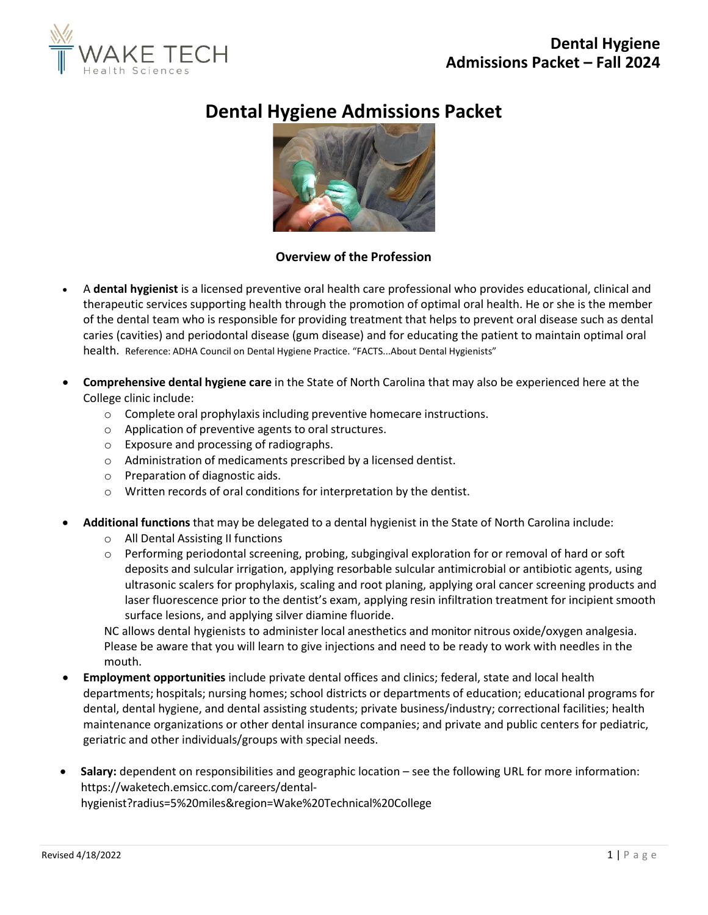

# **Dental Hygiene Admissions Packet**



# **Overview of the Profession**

- A **dental hygienist** is a licensed preventive oral health care professional who provides educational, clinical and therapeutic services supporting health through the promotion of optimal oral health. He or she is the member of the dental team who is responsible for providing treatment that helps to prevent oral disease such as dental caries (cavities) and periodontal disease (gum disease) and for educating the patient to maintain optimal oral health. Reference: ADHA Council on Dental Hygiene Practice. "FACTS...About Dental Hygienists"
- **Comprehensive dental hygiene care** in the State of North Carolina that may also be experienced here at the College clinic include:
	- o Complete oral prophylaxis including preventive homecare instructions.
	- o Application of preventive agents to oral structures.
	- o Exposure and processing of radiographs.
	- o Administration of medicaments prescribed by a licensed dentist.
	- o Preparation of diagnostic aids.
	- o Written records of oral conditions for interpretation by the dentist.
- **Additional functions** that may be delegated to a dental hygienist in the State of North Carolina include:
	- o All Dental Assisting II functions
	- $\circ$  Performing periodontal screening, probing, subgingival exploration for or removal of hard or soft deposits and sulcular irrigation, applying resorbable sulcular antimicrobial or antibiotic agents, using ultrasonic scalers for prophylaxis, scaling and root planing, applying oral cancer screening products and laser fluorescence prior to the dentist's exam, applying resin infiltration treatment for incipient smooth surface lesions, and applying silver diamine fluoride.

NC allows dental hygienists to administer local anesthetics and monitor nitrous oxide/oxygen analgesia. Please be aware that you will learn to give injections and need to be ready to work with needles in the mouth.

- **Employment opportunities** include private dental offices and clinics; federal, state and local health departments; hospitals; nursing homes; school districts or departments of education; educational programs for dental, dental hygiene, and dental assisting students; private business/industry; correctional facilities; health maintenance organizations or other dental insurance companies; and private and public centers for pediatric, geriatric and other individuals/groups with special needs.
- **Salary:** dependent on responsibilities and geographic location see the following URL for more information: https://waketech.emsicc.com/careers/dental-

hygienist?radius=5%20miles&region=Wake%20Technical%20College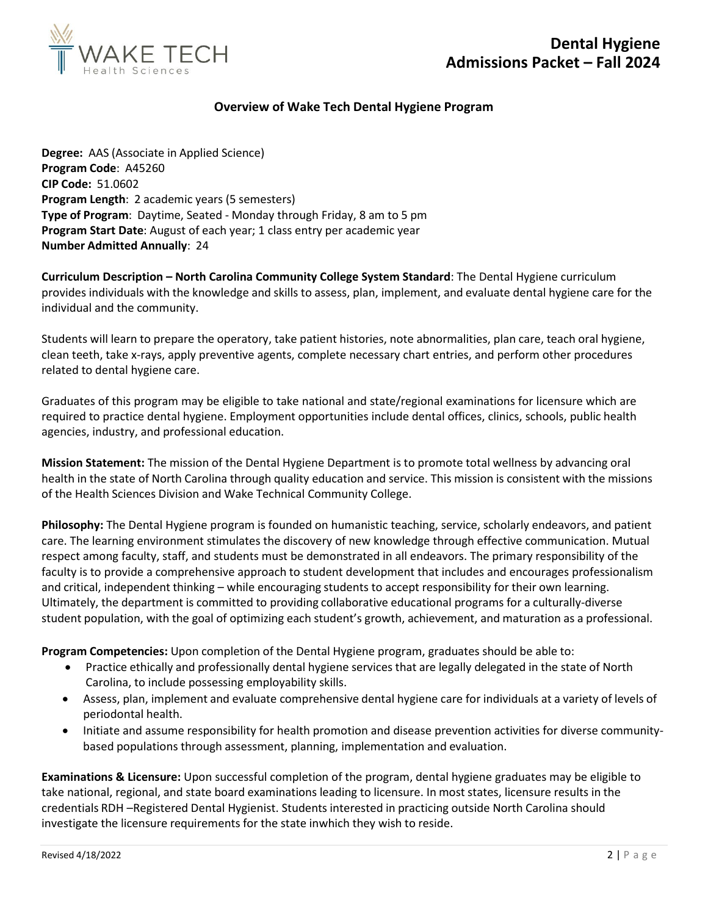

## **Overview of Wake Tech Dental Hygiene Program**

**Degree:** AAS (Associate in Applied Science) **Program Code**: A45260 **CIP Code:** 51.0602 **Program Length**: 2 academic years (5 semesters) **Type of Program**: Daytime, Seated - Monday through Friday, 8 am to 5 pm **Program Start Date**: August of each year; 1 class entry per academic year **Number Admitted Annually**: 24

**Curriculum Description – North Carolina Community College System Standard**: The Dental Hygiene curriculum provides individuals with the knowledge and skills to assess, plan, implement, and evaluate dental hygiene care for the individual and the community.

Students will learn to prepare the operatory, take patient histories, note abnormalities, plan care, teach oral hygiene, clean teeth, take x-rays, apply preventive agents, complete necessary chart entries, and perform other procedures related to dental hygiene care.

Graduates of this program may be eligible to take national and state/regional examinations for licensure which are required to practice dental hygiene. Employment opportunities include dental offices, clinics, schools, public health agencies, industry, and professional education.

**Mission Statement:** The mission of the Dental Hygiene Department is to promote total wellness by advancing oral health in the state of North Carolina through quality education and service. This mission is consistent with the missions of the Health Sciences Division and Wake Technical Community College.

**Philosophy:** The Dental Hygiene program is founded on humanistic teaching, service, scholarly endeavors, and patient care. The learning environment stimulates the discovery of new knowledge through effective communication. Mutual respect among faculty, staff, and students must be demonstrated in all endeavors. The primary responsibility of the faculty is to provide a comprehensive approach to student development that includes and encourages professionalism and critical, independent thinking – while encouraging students to accept responsibility for their own learning. Ultimately, the department is committed to providing collaborative educational programs for a culturally-diverse student population, with the goal of optimizing each student's growth, achievement, and maturation as a professional.

**Program Competencies:** Upon completion of the Dental Hygiene program, graduates should be able to:

- Practice ethically and professionally dental hygiene services that are legally delegated in the state of North Carolina, to include possessing employability skills.
- Assess, plan, implement and evaluate comprehensive dental hygiene care for individuals at a variety of levels of periodontal health.
- Initiate and assume responsibility for health promotion and disease prevention activities for diverse communitybased populations through assessment, planning, implementation and evaluation.

**Examinations & Licensure:** Upon successful completion of the program, dental hygiene graduates may be eligible to take national, regional, and state board examinations leading to licensure. In most states, licensure results in the credentials RDH –Registered Dental Hygienist. Students interested in practicing outside North Carolina should investigate the licensure requirements for the state inwhich they wish to reside.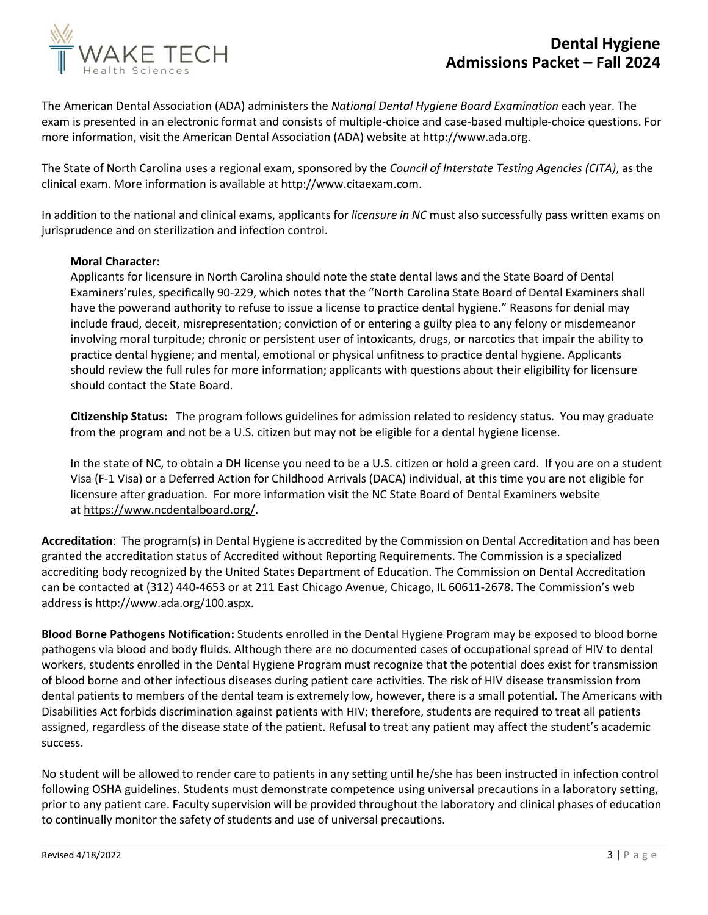



The American Dental Association (ADA) administers the *National Dental Hygiene Board Examination* each year. The exam is presented in an electronic format and consists of multiple-choice and case-based multiple-choice questions. For more information, visit the American Dental Association (ADA) website at [http://www.ada.org.](http://www.ada.org/)

The State of North Carolina uses a regional exam, sponsored by the *Council of Interstate Testing Agencies (CITA)*, as the clinical exam. More information is available at [http://www.citaexam.com.](http://www.citaexam.com/)

In addition to the national and clinical exams, applicants for *licensure in NC* must also successfully pass written exams on jurisprudence and on sterilization and infection control.

#### **Moral Character:**

Applicants for licensure in North Carolina should note the state dental laws and the State Board of Dental Examiners'rules, specifically 90-229, which notes that the "North Carolina State Board of Dental Examiners shall have the powerand authority to refuse to issue a license to practice dental hygiene." Reasons for denial may include fraud, deceit, misrepresentation; conviction of or entering a guilty plea to any felony or misdemeanor involving moral turpitude; chronic or persistent user of intoxicants, drugs, or narcotics that impair the ability to practice dental hygiene; and mental, emotional or physical unfitness to practice dental hygiene. Applicants should review the full rules for more information; applicants with questions about their eligibility for licensure should contact the State Board.

**Citizenship Status:** The program follows guidelines for admission related to residency status. You may graduate from the program and not be a U.S. citizen but may not be eligible for a dental hygiene license.

In the state of NC, to obtain a DH license you need to be a U.S. citizen or hold a green card. If you are on a student Visa (F-1 Visa) or a Deferred Action for Childhood Arrivals (DACA) individual, at this time you are not eligible for licensure after graduation. For more information visit the NC State Board of Dental Examiners website at [https://www.ncdentalboard.org/.](https://www.ncdentalboard.org/)

**Accreditation**: The program(s) in Dental Hygiene is accredited by the Commission on Dental Accreditation and has been granted the accreditation status of Accredited without Reporting Requirements. The Commission is a specialized accrediting body recognized by the United States Department of Education. The Commission on Dental Accreditation can be contacted at (312) 440-4653 or at 211 East Chicago Avenue, Chicago, IL 60611-2678. The Commission's web address is [http://www.ada.org/100.aspx.](http://www.ada.org/100.aspx)

**Blood Borne Pathogens Notification:** Students enrolled in the Dental Hygiene Program may be exposed to blood borne pathogens via blood and body fluids. Although there are no documented cases of occupational spread of HIV to dental workers, students enrolled in the Dental Hygiene Program must recognize that the potential does exist for transmission of blood borne and other infectious diseases during patient care activities. The risk of HIV disease transmission from dental patients to members of the dental team is extremely low, however, there is a small potential. The Americans with Disabilities Act forbids discrimination against patients with HIV; therefore, students are required to treat all patients assigned, regardless of the disease state of the patient. Refusal to treat any patient may affect the student's academic success.

No student will be allowed to render care to patients in any setting until he/she has been instructed in infection control following OSHA guidelines. Students must demonstrate competence using universal precautions in a laboratory setting, prior to any patient care. Faculty supervision will be provided throughout the laboratory and clinical phases of education to continually monitor the safety of students and use of universal precautions.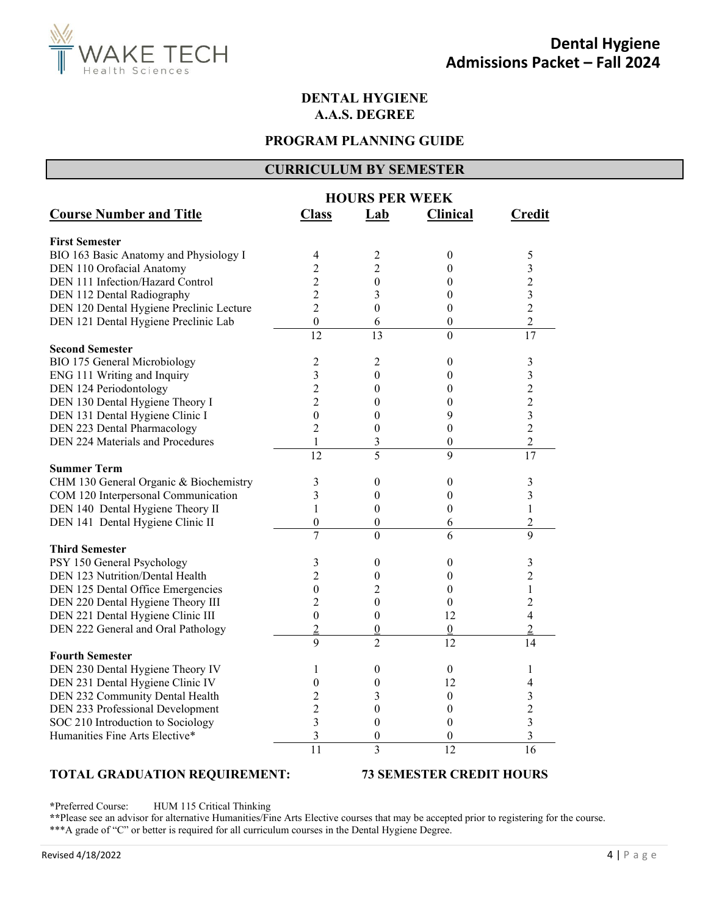

## **DENTAL HYGIENE A.A.S. DEGREE**

## **PROGRAM PLANNING GUIDE**

#### **CURRICULUM BY SEMESTER**

|                                          | <b>HOURS PER WEEK</b> |                  |                  |                |
|------------------------------------------|-----------------------|------------------|------------------|----------------|
| <b>Course Number and Title</b>           | <b>Class</b>          | Lab              | <b>Clinical</b>  | <b>Credit</b>  |
| <b>First Semester</b>                    |                       |                  |                  |                |
| BIO 163 Basic Anatomy and Physiology I   | 4                     | 2                | $\boldsymbol{0}$ | 5              |
| DEN 110 Orofacial Anatomy                | 2                     | $\overline{2}$   | $\boldsymbol{0}$ | 3              |
| DEN 111 Infection/Hazard Control         | $\overline{c}$        | $\boldsymbol{0}$ | 0                | $\overline{c}$ |
| DEN 112 Dental Radiography               | $\overline{c}$        | 3                | $\boldsymbol{0}$ | 3              |
| DEN 120 Dental Hygiene Preclinic Lecture | $\overline{2}$        | $\theta$         | 0                | $\overline{c}$ |
| DEN 121 Dental Hygiene Preclinic Lab     | $\boldsymbol{0}$      | 6                | $\boldsymbol{0}$ | $\overline{c}$ |
|                                          | $\overline{12}$       | 13               | $\theta$         | 17             |
| <b>Second Semester</b>                   |                       |                  |                  |                |
| BIO 175 General Microbiology             | 2                     | 2                | $\boldsymbol{0}$ | 3              |
| ENG 111 Writing and Inquiry              | 3                     | $\theta$         | 0                | 3              |
| DEN 124 Periodontology                   | $\overline{c}$        | $\theta$         | $\theta$         | $\overline{c}$ |
| DEN 130 Dental Hygiene Theory I          | $\overline{2}$        | $\theta$         | $\theta$         | $\overline{c}$ |
| DEN 131 Dental Hygiene Clinic I          | $\theta$              | $\theta$         | 9                | 3              |
| DEN 223 Dental Pharmacology              | $\overline{2}$        | $\mathbf{0}$     | $\boldsymbol{0}$ | $\overline{2}$ |
| DEN 224 Materials and Procedures         | 1                     | 3                | 0                | $\overline{c}$ |
|                                          | $\overline{12}$       | 5                | $\overline{9}$   | 17             |
| <b>Summer Term</b>                       |                       |                  |                  |                |
| CHM 130 General Organic & Biochemistry   | 3                     | $\boldsymbol{0}$ | 0                | 3              |
| COM 120 Interpersonal Communication      | 3                     | $\mathbf{0}$     | $\boldsymbol{0}$ | 3              |
| DEN 140 Dental Hygiene Theory II         | 1                     | $\mathbf{0}$     | $\boldsymbol{0}$ | 1              |
| DEN 141 Dental Hygiene Clinic II         | $\boldsymbol{0}$      | $\boldsymbol{0}$ | 6                | $\overline{c}$ |
|                                          | $\overline{7}$        | $\theta$         | 6                | 9              |
| <b>Third Semester</b>                    |                       |                  |                  |                |
| PSY 150 General Psychology               | 3                     | $\mathbf{0}$     | $\boldsymbol{0}$ | 3              |
| DEN 123 Nutrition/Dental Health          | $\overline{2}$        | $\mathbf{0}$     | 0                | $\overline{2}$ |
| DEN 125 Dental Office Emergencies        | $\mathbf{0}$          | $\overline{c}$   | $\theta$         | 1              |
| DEN 220 Dental Hygiene Theory III        | 2                     | $\mathbf{0}$     | $\boldsymbol{0}$ | $\overline{c}$ |
| DEN 221 Dental Hygiene Clinic III        | $\theta$              | $\theta$         | 12               | $\overline{4}$ |
| DEN 222 General and Oral Pathology       | $\overline{2}$        | $\boldsymbol{0}$ | $\boldsymbol{0}$ | $\overline{2}$ |
|                                          | $\mathbf Q$           | $\overline{2}$   | 12               | 14             |
| <b>Fourth Semester</b>                   |                       |                  |                  |                |
| DEN 230 Dental Hygiene Theory IV         | 1                     | $\boldsymbol{0}$ | $\boldsymbol{0}$ | 1              |
| DEN 231 Dental Hygiene Clinic IV         | 0                     | $\theta$         | 12               | 4              |
| DEN 232 Community Dental Health          | $\overline{c}$        | 3                | 0                | 3              |
| DEN 233 Professional Development         | $\overline{c}$        | $\overline{0}$   | $\mathbf{0}$     | $\overline{c}$ |
| SOC 210 Introduction to Sociology        | 3                     | $\mathbf{0}$     | $\boldsymbol{0}$ | 3              |
| Humanities Fine Arts Elective*           | 3                     | $\mathbf{0}$     | $\mathbf{0}$     | 3              |
|                                          | 11                    | $\overline{3}$   | $\overline{12}$  | 16             |
|                                          |                       |                  |                  |                |

#### **TOTAL GRADUATION REQUIREMENT: 73 SEMESTER CREDIT HOURS**

**\***Preferred Course: HUM 115 Critical Thinking

**\*\***Please see an advisor for alternative Humanities/Fine Arts Elective courses that may be accepted prior to registering for the course. \*\*\*A grade of "C" or better is required for all curriculum courses in the Dental Hygiene Degree.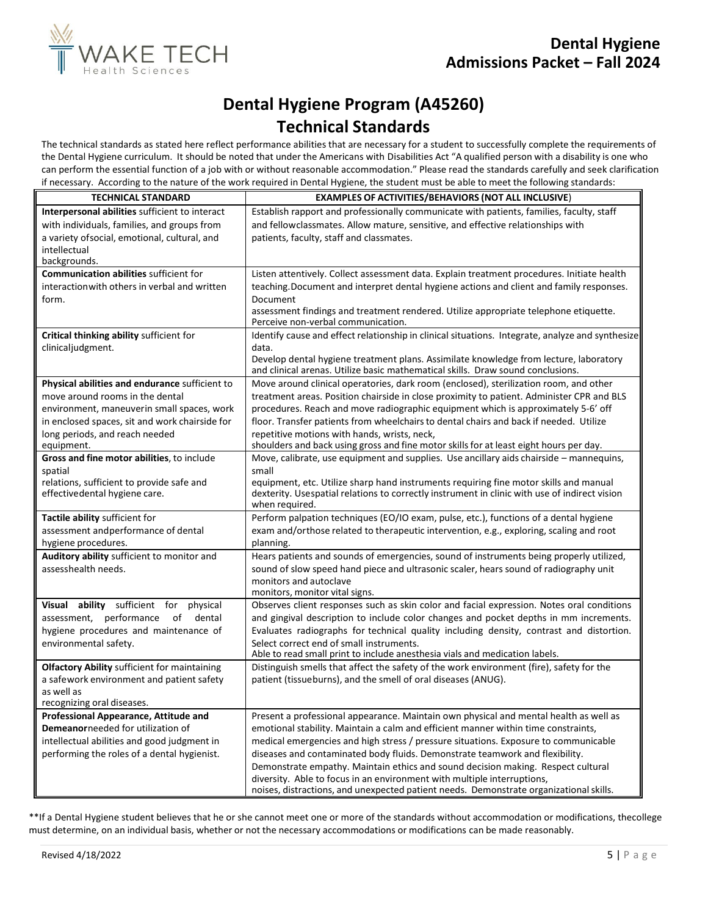

# **Dental Hygiene Program (A45260) Technical Standards**

The technical standards as stated here reflect performance abilities that are necessary for a student to successfully complete the requirements of the Dental Hygiene curriculum. It should be noted that under the Americans with Disabilities Act "A qualified person with a disability is one who can perform the essential function of a job with or without reasonable accommodation." Please read the standards carefully and seek clarification if necessary. According to the nature of the work required in Dental Hygiene, the student must be able to meet the following standards:

| <b>TECHNICAL STANDARD</b>                           | <b>EXAMPLES OF ACTIVITIES/BEHAVIORS (NOT ALL INCLUSIVE)</b>                                                                                                              |
|-----------------------------------------------------|--------------------------------------------------------------------------------------------------------------------------------------------------------------------------|
| Interpersonal abilities sufficient to interact      | Establish rapport and professionally communicate with patients, families, faculty, staff                                                                                 |
| with individuals, families, and groups from         | and fellowclassmates. Allow mature, sensitive, and effective relationships with                                                                                          |
| a variety of social, emotional, cultural, and       | patients, faculty, staff and classmates.                                                                                                                                 |
| intellectual<br>backgrounds.                        |                                                                                                                                                                          |
| <b>Communication abilities sufficient for</b>       | Listen attentively. Collect assessment data. Explain treatment procedures. Initiate health                                                                               |
| interaction with others in verbal and written       | teaching. Document and interpret dental hygiene actions and client and family responses.                                                                                 |
| form.                                               | Document                                                                                                                                                                 |
|                                                     | assessment findings and treatment rendered. Utilize appropriate telephone etiquette.<br>Perceive non-verbal communication.                                               |
| Critical thinking ability sufficient for            | Identify cause and effect relationship in clinical situations. Integrate, analyze and synthesize                                                                         |
| clinicaljudgment.                                   | data.                                                                                                                                                                    |
|                                                     | Develop dental hygiene treatment plans. Assimilate knowledge from lecture, laboratory<br>and clinical arenas. Utilize basic mathematical skills. Draw sound conclusions. |
| Physical abilities and endurance sufficient to      | Move around clinical operatories, dark room (enclosed), sterilization room, and other                                                                                    |
| move around rooms in the dental                     | treatment areas. Position chairside in close proximity to patient. Administer CPR and BLS                                                                                |
| environment, maneuverin small spaces, work          | procedures. Reach and move radiographic equipment which is approximately 5-6' off                                                                                        |
| in enclosed spaces, sit and work chairside for      | floor. Transfer patients from wheelchairs to dental chairs and back if needed. Utilize                                                                                   |
| long periods, and reach needed                      | repetitive motions with hands, wrists, neck,                                                                                                                             |
| equipment.                                          | shoulders and back using gross and fine motor skills for at least eight hours per day.                                                                                   |
| Gross and fine motor abilities, to include          | Move, calibrate, use equipment and supplies. Use ancillary aids chairside - mannequins,                                                                                  |
| spatial                                             | small                                                                                                                                                                    |
| relations, sufficient to provide safe and           | equipment, etc. Utilize sharp hand instruments requiring fine motor skills and manual                                                                                    |
| effectivedental hygiene care.                       | dexterity. Usespatial relations to correctly instrument in clinic with use of indirect vision<br>when required.                                                          |
| Tactile ability sufficient for                      | Perform palpation techniques (EO/IO exam, pulse, etc.), functions of a dental hygiene                                                                                    |
| assessment andperformance of dental                 | exam and/orthose related to therapeutic intervention, e.g., exploring, scaling and root                                                                                  |
| hygiene procedures.                                 | planning.                                                                                                                                                                |
| Auditory ability sufficient to monitor and          | Hears patients and sounds of emergencies, sound of instruments being properly utilized,                                                                                  |
| assesshealth needs.                                 | sound of slow speed hand piece and ultrasonic scaler, hears sound of radiography unit                                                                                    |
|                                                     | monitors and autoclave                                                                                                                                                   |
|                                                     | monitors, monitor vital signs.                                                                                                                                           |
| Visual<br>ability sufficient for<br>physical        | Observes client responses such as skin color and facial expression. Notes oral conditions                                                                                |
| assessment, performance<br>of<br>dental             | and gingival description to include color changes and pocket depths in mm increments.                                                                                    |
| hygiene procedures and maintenance of               | Evaluates radiographs for technical quality including density, contrast and distortion.                                                                                  |
| environmental safety.                               | Select correct end of small instruments.                                                                                                                                 |
|                                                     | Able to read small print to include anesthesia vials and medication labels.                                                                                              |
| <b>Olfactory Ability sufficient for maintaining</b> | Distinguish smells that affect the safety of the work environment (fire), safety for the                                                                                 |
| a safework environment and patient safety           | patient (tissueburns), and the smell of oral diseases (ANUG).                                                                                                            |
| as well as<br>recognizing oral diseases.            |                                                                                                                                                                          |
| Professional Appearance, Attitude and               | Present a professional appearance. Maintain own physical and mental health as well as                                                                                    |
| Demeanorneeded for utilization of                   | emotional stability. Maintain a calm and efficient manner within time constraints,                                                                                       |
| intellectual abilities and good judgment in         | medical emergencies and high stress / pressure situations. Exposure to communicable                                                                                      |
| performing the roles of a dental hygienist.         | diseases and contaminated body fluids. Demonstrate teamwork and flexibility.                                                                                             |
|                                                     | Demonstrate empathy. Maintain ethics and sound decision making. Respect cultural                                                                                         |
|                                                     | diversity. Able to focus in an environment with multiple interruptions,                                                                                                  |
|                                                     | noises, distractions, and unexpected patient needs. Demonstrate organizational skills.                                                                                   |

\*\*If a Dental Hygiene student believes that he or she cannot meet one or more of the standards without accommodation or modifications, thecollege must determine, on an individual basis, whether or not the necessary accommodations or modifications can be made reasonably.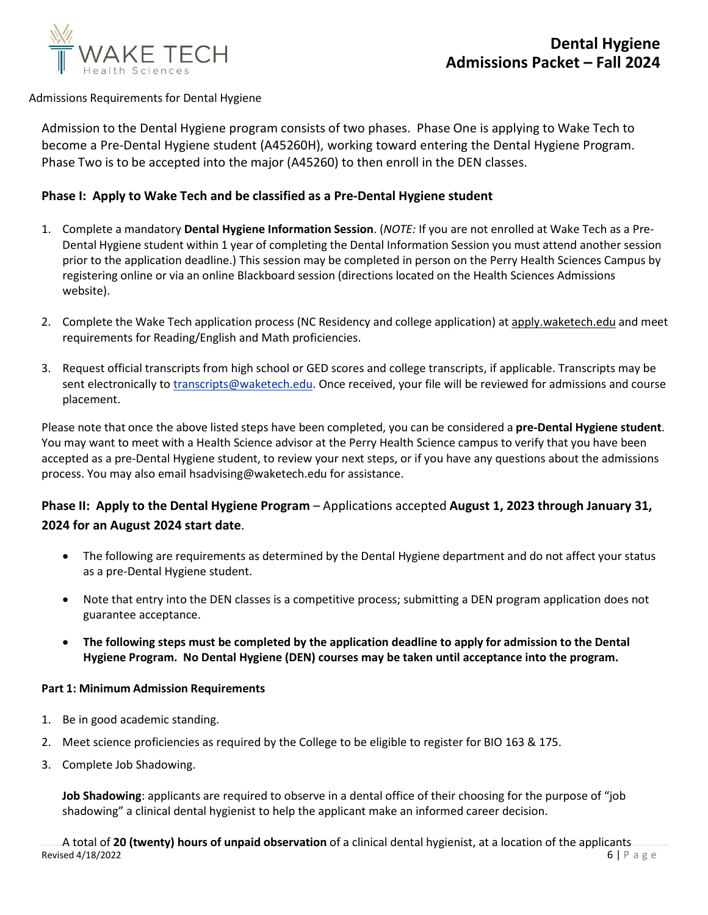

#### Admissions Requirements for Dental Hygiene

Admission to the Dental Hygiene program consists of two phases. Phase One is applying to Wake Tech to become a Pre-Dental Hygiene student (A45260H), working toward entering the Dental Hygiene Program. Phase Two is to be accepted into the major (A45260) to then enroll in the DEN classes.

### **Phase I: Apply to Wake Tech and be classified as a Pre-Dental Hygiene student**

- 1. Complete a mandatory **Dental Hygiene Information Session**. (*NOTE:* If you are not enrolled at Wake Tech as a Pre-Dental Hygiene student within 1 year of completing the Dental Information Session you must attend another session prior to the application deadline.) This session may be completed in person on the Perry Health Sciences Campus by registering online or via an online Blackboard session (directions located on the Health Sciences Admissions website).
- 2. Complete the Wake Tech application process (NC Residency and college application) at apply.waketech.edu and meet requirements for Reading/English and Math proficiencies.
- 3. Request official transcripts from high school or GED scores and college transcripts, if applicable. Transcripts may be sent electronically to [transcripts@waketech.edu.](mailto:transcripts@waketech.edu) Once received, your file will be reviewed for admissions and course placement.

Please note that once the above listed steps have been completed, you can be considered a **pre-Dental Hygiene student**. You may want to meet with a Health Science advisor at the Perry Health Science campus to verify that you have been accepted as a pre-Dental Hygiene student, to review your next steps, or if you have any questions about the admissions process. You may also email hsadvising@waketech.edu for assistance.

# **Phase II: Apply to the Dental Hygiene Program** – Applications accepted **August 1, 2023 through January 31, 2024 for an August 2024 start date**.

- The following are requirements as determined by the Dental Hygiene department and do not affect your status as a pre-Dental Hygiene student.
- Note that entry into the DEN classes is [a competitive process; s](http://www.waketech.edu/become-student/become-credit-programs-student/health-sciences-student/health-sciences-admissions/c-1)ubmitting a DEN program application does not guarantee acceptance.
- **The following steps must be completed by the application deadline to apply for admission to the Dental Hygiene Program. No Dental Hygiene (DEN) courses may be taken until acceptance into the program.**

#### **Part 1: Minimum Admission Requirements**

- 1. Be in good academic standing.
- 2. Meet science proficiencies as required by the College to be eligible to register for BIO 163 & 175.
- 3. Complete Job Shadowing.

**Job Shadowing**: applicants are required to observe in a dental office of their choosing for the purpose of "job shadowing" a clinical dental hygienist to help the applicant make an informed career decision.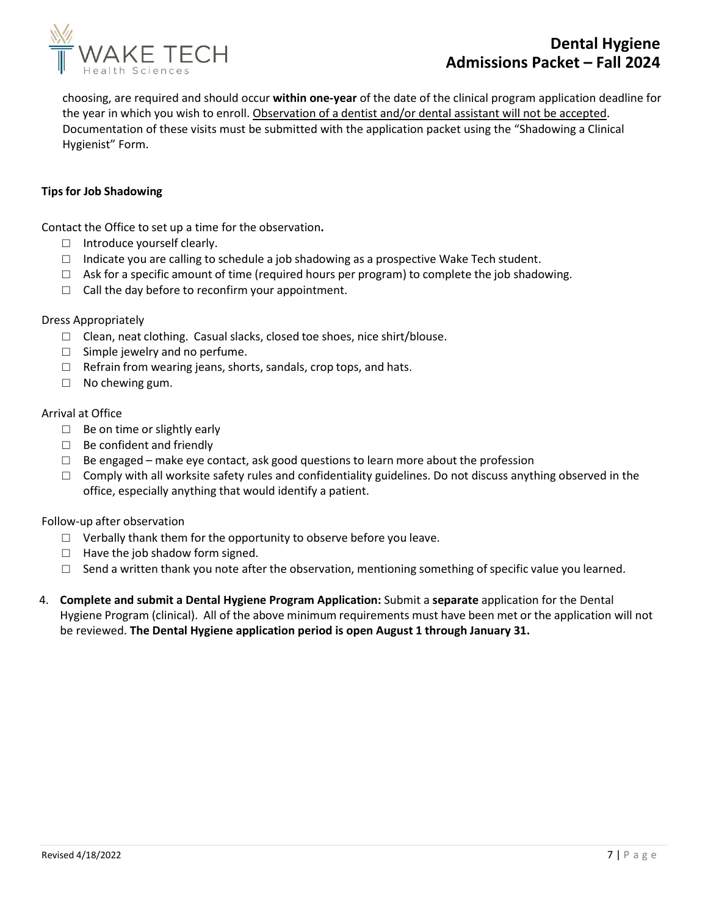

# **Dental Hygiene Admissions Packet – Fall 2024**

choosing, are required and should occur **within one- year** of the date of the clinical program application deadline for the year in which you wish to enroll. Observation of a dentist and/or dental assistant will not be accepted. Documentation of these visits must be submitted with the application packet using the "Shadowing a Clinical Hygienist" Form.

#### **Tipsfor Job Shadowing**

Contact the Office to set up a time for the observation**.** 

- □ Introduce yourself clearly.
- $\Box$  Indicate you are calling to schedule a job shadowing as a prospective Wake Tech student.
- $\Box$  Ask for a specific amount of time (required hours per program) to complete the job shadowing.
- $\Box$  Call the day before to reconfirm your appointment.

#### Dress Appropriately

- □ Clean, neat clothing. Casual slacks, closed toe shoes, nice shirt/blouse.
- $\Box$  Simple jewelry and no perfume.
- $\Box$  Refrain from wearing jeans, shorts, sandals, crop tops, and hats.
- $\Box$  No chewing gum.

#### Arrival at Office

- $\Box$  Be on time or slightly early
- □ Be confident and friendly
- $\square$  Be engaged make eye contact, ask good questions to learn more about the profession
- $\Box$  Comply with all worksite safety rules and confidentiality guidelines. Do not discuss anything observed in the office, especially anything that would identify a patient.

#### Follow-up after observation

- $\Box$  Verbally thank them for the opportunity to observe before you leave.
- □ Have the job shadow form signed.
- $\Box$  Send a written thank you note after the observation, mentioning something of specific value you learned.
- 4. **Complete and submit a Dental Hygiene Program Application:** Submit a **separate** application for the Dental Hygiene Program (clinical). All of the above minimum requirements must have been met or the application will not be reviewed. **The Dental Hygiene application period is open August 1 through January 31.**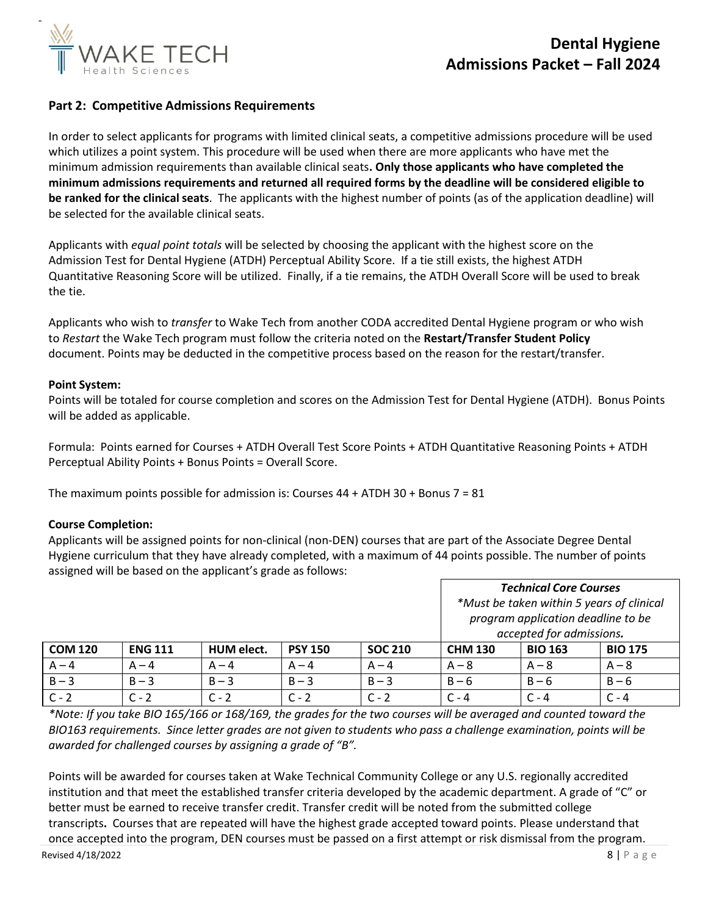

### **Part 2: Competitive Admissions Requirements**

In order to select applicants for programs with limited clinical seats, a competitive admissions procedure will be used which utilizes a point system. This procedure will be used when there are more applicants who have met the minimum admission requirements than available clinical seats**. Only those applicants who have completed the minimum admissions requirements and returned all required forms by the deadline will be considered eligible to be ranked for the clinical seats**. The applicants with the highest number of points (as of the application deadline) will be selected for the available clinical seats.

Applicants with *equal point totals* will be selected by choosing the applicant with the highest score on the Admission Test for Dental Hygiene (ATDH) Perceptual Ability Score. If a tie still exists, the highest ATDH Quantitative Reasoning Score will be utilized. Finally, if a tie remains, the ATDH Overall Score will be used to break the tie.

Applicants who wish to *transfer* to Wake Tech from another CODA accredited Dental Hygiene program or who wish to *Restart* the Wake Tech program must follow the criteria noted on the **Restart/Transfer Student Policy** document. Points may be deducted in the competitive process based on the reason for the restart/transfer.

#### **Point System:**

Points will be totaled for course completion and scores on the Admission Test for Dental Hygiene (ATDH). Bonus Points will be added as applicable.

Formula: Points earned for Courses + ATDH Overall Test Score Points + ATDH Quantitative Reasoning Points + ATDH Perceptual Ability Points + Bonus Points = Overall Score.

The maximum points possible for admission is: Courses  $44 +$  ATDH 30 + Bonus 7 = 81

#### **Course Completion:**

Applicants will be assigned points for non-clinical (non-DEN) courses that are part of the Associate Degree Dental Hygiene curriculum that they have already completed, with a maximum of 44 points possible. The number of points assigned will be based on the applicant's grade as follows:

|                |                |            |                |                | <b>Technical Core Courses</b><br>*Must be taken within 5 years of clinical<br>program application deadline to be<br>accepted for admissions. |                |                |
|----------------|----------------|------------|----------------|----------------|----------------------------------------------------------------------------------------------------------------------------------------------|----------------|----------------|
| <b>COM 120</b> | <b>ENG 111</b> | HUM elect. | <b>PSY 150</b> | <b>SOC 210</b> | <b>CHM 130</b>                                                                                                                               | <b>BIO 163</b> | <b>BIO 175</b> |
| $A - 4$        | $A - 4$        | $A - 4$    | $A - 4$        | $A - 4$        | $A - 8$                                                                                                                                      | $A - 8$        | $A - 8$        |
| $B - 3$        | $B - 3$        | $B - 3$    | $B - 3$        | $B - 3$        | $B - 6$                                                                                                                                      | $B - 6$        | $B - 6$        |
| $C - 2$        | $C - 2$        | $C - 2$    | $C - 2$        | $C - 2$        | $C - 4$                                                                                                                                      | $C - 4$        | $C - 4$        |

*\*Note: If you take BIO 165/166 or 168/169, the grades for the two courses will be averaged and counted toward the*  BIO163 requirements. Since letter grades are not given to students who pass a challenge examination, points will be *awarded for challenged courses by assigning a grade of "B".*

Points will be awarded for courses taken at Wake Technical Community College or any U.S. regionally accredited institution and that meet the established transfer criteria developed by the academic department. A grade of "C" or better must be earned to receive transfer credit. Transfer credit will be noted from the submitted college transcripts**.** Courses that are repeated will have the highest grade accepted toward points. Please understand that once accepted into the program, DEN courses must be passed on a first attempt or risk dismissal from the program.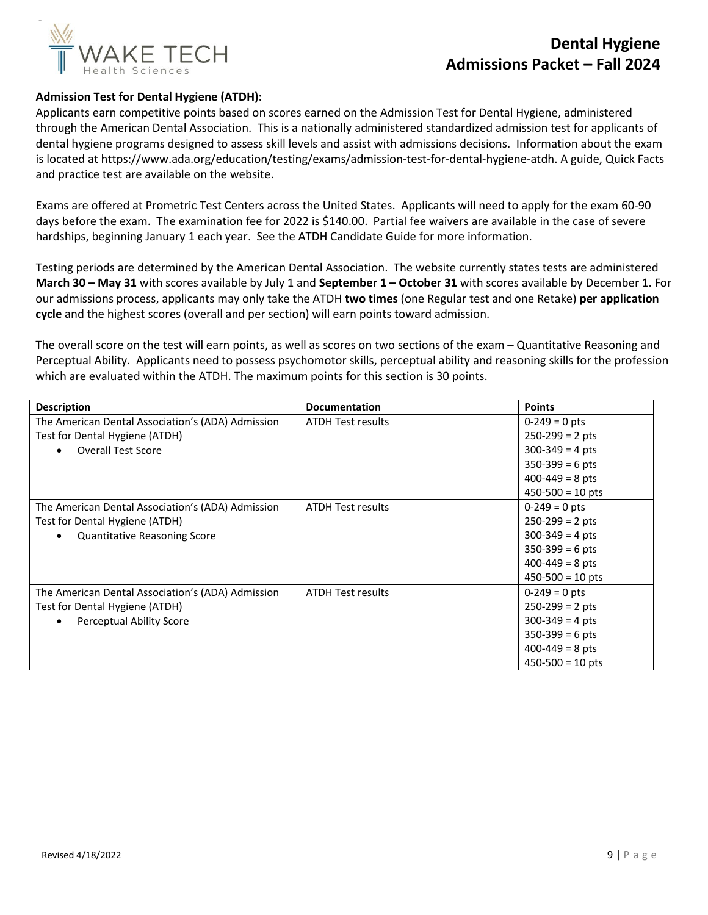

#### **Admission Test for Dental Hygiene (ATDH):**

Applicants earn competitive points based on scores earned on the Admission Test for Dental Hygiene, administered through the American Dental Association. This is a nationally administered standardized admission test for applicants of dental hygiene programs designed to assess skill levels and assist with admissions decisions. Information about the exam is located at https://www.ada.org/education/testing/exams/admission-test-for-dental-hygiene-atdh. A guide, Quick Facts and practice test are available on the website.

Exams are offered at Prometric Test Centers across the United States. Applicants will need to apply for the exam 60-90 days before the exam. The examination fee for 2022 is \$140.00. Partial fee waivers are available in the case of severe hardships, beginning January 1 each year. See the ATDH Candidate Guide for more information.

Testing periods are determined by the American Dental Association. The website currently states tests are administered **March 30 – May 31** with scores available by July 1 and **September 1 – October 31** with scores available by December 1. For our admissions process, applicants may only take the ATDH **two times** (one Regular test and one Retake) **per application cycle** and the highest scores (overall and per section) will earn points toward admission.

The overall score on the test will earn points, as well as scores on two sections of the exam – Quantitative Reasoning and Perceptual Ability. Applicants need to possess psychomotor skills, perceptual ability and reasoning skills for the profession which are evaluated within the ATDH. The maximum points for this section is 30 points.

| <b>Description</b>                                | <b>Documentation</b>     | <b>Points</b>             |
|---------------------------------------------------|--------------------------|---------------------------|
| The American Dental Association's (ADA) Admission | <b>ATDH Test results</b> | $0-249 = 0$ pts           |
| Test for Dental Hygiene (ATDH)                    |                          | $250-299 = 2 pts$         |
| <b>Overall Test Score</b><br>$\bullet$            |                          | $300 - 349 = 4$ pts       |
|                                                   |                          | $350-399 = 6$ pts         |
|                                                   |                          | $400 - 449 = 8$ pts       |
|                                                   |                          | $450 - 500 = 10$ pts      |
| The American Dental Association's (ADA) Admission | <b>ATDH Test results</b> | $0-249 = 0$ pts           |
| Test for Dental Hygiene (ATDH)                    |                          | $250-299 = 2 \text{ pts}$ |
| <b>Quantitative Reasoning Score</b><br>$\bullet$  |                          | $300-349 = 4$ pts         |
|                                                   |                          | $350-399 = 6$ pts         |
|                                                   |                          | $400 - 449 = 8$ pts       |
|                                                   |                          | $450 - 500 = 10$ pts      |
| The American Dental Association's (ADA) Admission | <b>ATDH Test results</b> | $0-249 = 0$ pts           |
| Test for Dental Hygiene (ATDH)                    |                          | $250-299 = 2 \text{ pts}$ |
| <b>Perceptual Ability Score</b><br>$\bullet$      |                          | $300-349 = 4$ pts         |
|                                                   |                          | $350-399 = 6$ pts         |
|                                                   |                          | $400 - 449 = 8$ pts       |
|                                                   |                          | $450 - 500 = 10$ pts      |